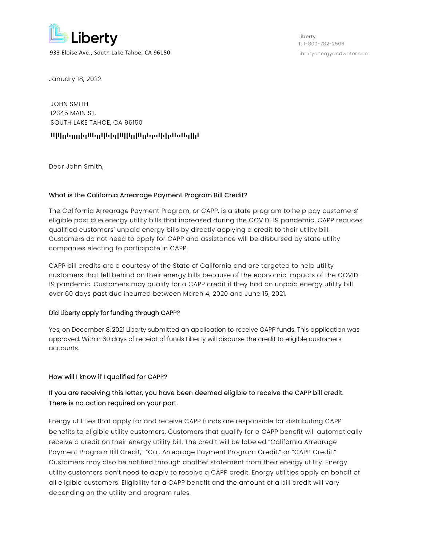

Liberty T: 1-800-782-2506

January 18, 2022

JOHN SMITH 12345 MAIN ST. SOUTH LAKE TAHOE, CA 96150

# AAFAFDDATDDDDFTDAAATDDAFATFTDFAAFFADDFAADDATDTTAFTFDTAATTAATDFFDA

Dear John Smith,

### What is the California Arrearage Payment Program Bill Credit?

The California Arrearage Payment Program, or CAPP, is a state program to help pay customers' eligible past due energy utility bills that increased during the COVID-19 pandemic. CAPP reduces qualified customers' unpaid energy bills by directly applying a credit to their utility bill. Customers do not need to apply for CAPP and assistance will be disbursed by state utility companies electing to participate in CAPP.

CAPP bill credits are a courtesy of the State of California and are targeted to help utility customers that fell behind on their energy bills because of the economic impacts of the COVID-19 pandemic. Customers may qualify for a CAPP credit if they had an unpaid energy utility bill over 60 days past due incurred between March 4, 2020 and June 15, 2021.

#### Did Liberty apply for funding through CAPP?

Yes, on December 8, 2021 Liberty submitted an application to receive CAPP funds. This application was approved. Within 60 days of receipt of funds Liberty will disburse the credit to eligible customers accounts.

#### How will I know if I qualified for CAPP?

# If you are receiving this letter, you have been deemed eligible to receive the CAPP bill credit. There is no action required on your part.

Energy utilities that apply for and receive CAPP funds are responsible for distributing CAPP benefits to eligible utility customers. Customers that qualify for a CAPP benefit will automatically receive a credit on their energy utility bill. The credit will be labeled "California Arrearage Payment Program Bill Credit," "Cal. Arrearage Payment Program Credit," or "CAPP Credit." Customers may also be notified through another statement from their energy utility. Energy utility customers don't need to apply to receive a CAPP credit. Energy utilities apply on behalf of all eligible customers. Eligibility for a CAPP benefit and the amount of a bill credit will vary depending on the utility and program rules.